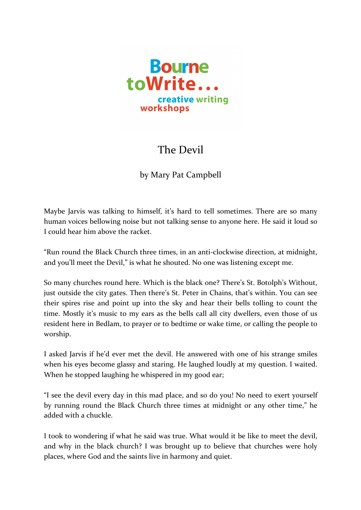

## The Devil

by Mary Pat Campbell

Maybe Jarvis was talking to himself, it's hard to tell sometimes. There are so many human voices bellowing noise but not talking sense to anyone here. He said it loud so I could hear him above the racket.

"Run round the Black Church three times, in an anti-clockwise direction, at midnight, and you'll meet the Devil," is what he shouted. No one was listening except me.

So many churches round here. Which is the black one? There's St. Botolph's Without, just outside the city gates. Then there's St. Peter in Chains, that's within. You can see their spires rise and point up into the sky and hear their bells tolling to count the time. Mostly it's music to my ears as the bells call all city dwellers, even those of us resident here in Bedlam, to prayer or to bedtime or wake time, or calling the people to worship.

I asked Jarvis if he'd ever met the devil. He answered with one of his strange smiles when his eyes become glassy and staring. He laughed loudly at my question. I waited. When he stopped laughing he whispered in my good ear;

"I see the devil every day in this mad place, and so do you! No need to exert yourself by running round the Black Church three times at midnight or any other time," he added with a chuckle

I took to wondering if what he said was true. What would it be like to meet the devil, and why in the black church? I was brought up to believe that churches were holy places, where God and the saints live in harmony and quiet.